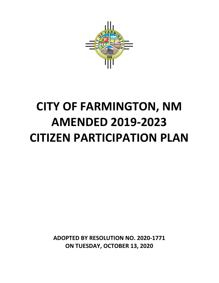

# **CITY OF FARMINGTON, NM AMENDED 2019-2023 CITIZEN PARTICIPATION PLAN**

**ADOPTED BY RESOLUTION NO. 2020-1771 ON TUESDAY, OCTOBER 13, 2020**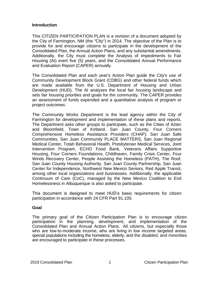# **Introduction**

This CITIZEN PARTICIPATION PLAN is a revision of a document adopted by the City of Farmington, NM (the "City") in 2014. The objective of the Plan is to provide for and encourage citizens to participate in the development of the Consolidated Plan, the Annual Action Plans, and any substantial amendments. Additionally, the City must complete the Analysis of Impediments to Fair Housing (AI) evert five (5) years, and the Consolidated Annual Performance and Evaluation Report (CAPER) annually.

The Consolidated Plan and each year's Action Plan guide the City's use of Community Development Block Grant (CDBG) and other federal funds which are made available from the U.S. Department of Housing and Urban Development (HUD). The AI analyzes the local fair housing landscape and sets fair housing priorities and goals for the community. The CAPER provides an assessment of funds expended and a quantitative analysis of program or project outcomes.

The Community Works Department is the lead agency within the City of Farmington for development and implementation of these plans and reports. The Department asks other groups to participate, such as the Cities of Aztec and Bloomfield, Town of Kirtland, San Juan County, Four Corners Comprehensive Homeless Assistance Providers (CHAP), San Juan Safe Communities, San Juan Community PLACE MATTERS, San Juan Regional Medical Center, Totah Behavioral Health, Presbyterian Medical Services, Joint Intervention Program, ECHO Food Bank, Veterans Affairs Supportive Housing, Four Corners Foundations, Childhaven, Family Crisis Center, Four Winds Recovery Center, People Assisting the Homeless (PATH), The Roof, San Juan County Housing Authority, San Juan County Partnership, San Juan Center for Independence, Northwest New Mexico Seniors, Red Apple Transit, among other local organizations and businesses. Additionally, the applicable Continuum of Care (CoC), managed by the New Mexico Coalition to End Homelessness in Albuquerque is also asked to participate.

This document is designed to meet HUD's basic requirements for citizen participation in accordance with 24 CFR Part 91.105.

# **Goal**

The primary goal of the Citizen Participation Plan is to encourage citizen participation in the planning, development, and implementation of the Consolidated Plan and Annual Action Plans. All citizens, but especially those who are low-to-moderate income, who are living in low income targeted areas, special populations including the homeless, elderly, and the disabled, and minorities are encouraged to participate in these processes.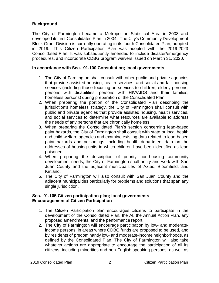# **Background**

The City of Farmington became a Metropolitan Statistical Area in 2003 and developed its first Consolidated Plan in 2004. The City's Community Development Block Grant Division is currently operating in its fourth Consolidated Plan, adopted in 2019. This Citizen Participation Plan was adopted with the 2019-2023 Consolidated Plan. It was subsequently amended to include disaster/emergency procedures, and incorporate CDBG program waivers issued on March 31, 2020.

# **In accordance with Sec. 91.100 Consultation; local governments:**

- 1. The City of Farmington shall consult with other public and private agencies that provide assisted housing, health services, and social and fair housing services (including those focusing on services to children, elderly persons, persons with disabilities, persons with HIV/AIDS and their families, homeless persons) during preparation of the Consolidated Plan.
- 2. When preparing the portion of the Consolidated Plan describing the jurisdiction's homeless strategy, the City of Farmington shall consult with public and private agencies that provide assisted housing, health services, and social services to determine what resources are available to address the needs of any persons that are chronically homeless.
- 3. When preparing the Consolidated Plan's section concerning lead-based paint hazards, the City of Farmington shall consult with state or local health and child welfare agencies and examine existing data related to lead-based paint hazards and poisonings, including health department data on the addresses of housing units in which children have been identified as lead poisoned.
- 4. When preparing the description of priority non-housing community development needs, the City of Farmington shall notify and work with San Juan County and the adjacent municipalities of Aztec, Bloomfield, and Kirtland.
- 5. The City of Farmington will also consult with San Juan County and the adjacent municipalities particularly for problems and solutions that span any single jurisdiction.

# **Sec. 91.105 Citizen participation plan; local governments Encouragement of Citizen Participation**

- 1. The Citizen Participation plan encourages citizens to participate in the development of the Consolidated Plan, the AI, the Annual Action Plan, any proposed amendments, and the performance report.
- 2. The City of Farmington will encourage participation by low- and moderateincome persons, in areas where CDBG funds are proposed to be used, and by residents of predominantly low- and moderate-income neighborhoods, as defined by the Consolidated Plan. The City of Farmington will also take whatever actions are appropriate to encourage the participation of all its citizens, including minorities and non-English speaking persons, as well as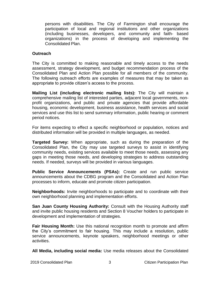persons with disabilities. The City of Farmington shall encourage the participation of local and regional institutions and other organizations (including businesses, developers, and community and faith- based organizations) in the process of developing and implementing the Consolidated Plan.

#### **Outreach**

The City is committed to making reasonable and timely access to the needs assessment, strategy development, and budget recommendation process of the Consolidated Plan and Action Plan possible for all members of the community. The following outreach efforts are examples of measures that may be taken as appropriate to provide citizen's access to the process.

**Mailing List (including electronic mailing lists):** The City will maintain a comprehensive mailing list of interested parties, adjacent local governments, nonprofit organizations, and public and private agencies that provide affordable housing, economic development, business assistance, health services and social services and use this list to send summary information, public hearing or comment period notices.

For items expecting to effect a specific neighborhood or population, notices and distributed information will be provided in multiple languages, as needed.

**Targeted Survey:** When appropriate, such as during the preparation of the Consolidated Plan, the City may use targeted surveys to assist in identifying community needs, existing services available to meet those needs, assessing any gaps in meeting those needs, and developing strategies to address outstanding needs. If needed, surveys will be provided in various languages.

**Public Service Announcements (PSAs):** Create and run public service announcements about the CDBG program and the Consolidated and Action Plan processes to inform, educate and promote citizen participation.

**Neighborhoods:** Invite neighborhoods to participate and to coordinate with their own neighborhood planning and implementation efforts.

**San Juan County Housing Authority:** Consult with the Housing Authority staff and invite public housing residents and Section 8 Voucher holders to participate in development and implementation of strategies.

**Fair Housing Month:** Use this national recognition month to promote and affirm the City's commitment to fair housing. This may include a resolution, public service announcements, keynote speakers, neighborhood meetings or other activities.

**All Media, including social media:** Use media releases about the Consolidated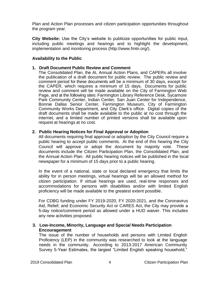Plan and Action Plan processes and citizen participation opportunities throughout the program year.

**City Website:** Use the City's website to publicize opportunities for public input, including public meetings and hearings and to highlight the development, implementation and monitoring process (http://www.fmtn.org/).

# **Availability to the Public**

#### **1. Draft Document Public Review and Comment**

The Consolidated Plan, the AI, Annual Action Plans, and CAPERs all involve the publication of a draft document for public review. The public review and comment period for these documents will be a minimum of 30 days, except for the CAPER, which requires a minimum of 15 days. Documents for public review and comment will be made available on the City of Farmington Web Page, and at the following sites: Farmington Library Reference Desk, Sycamore Park Community Center, Indian Center, San Juan Center for Independence, Bonnie Dallas Senior Center, Farmington Museum, City of Farmington Community Works Department, and City Clerk's office. Digital copies of the draft documents shall be made available to the public at no cost through the internet, and a limited number of printed versions shall be available upon request at hearings at no cost.

# **2. Public Hearing Notices for Final Approval or Adoption**

All documents requiring final approval or adoption by the City Council require a public hearing to accept public comments. At the end of this hearing the City Council will approve or adopt the document by majority vote. These documents include the Citizen Participation Plan, the Consolidated Plan, and the Annual Action Plan. All public hearing notices will be published in the local newspaper for a minimum of 15 days prior to a public hearing.

In the event of a national, state or local declared emergency that limits the ability for in person meetings, virtual hearings will be an allowed method for citizen participation. If virtual hearings are used, real-time responses and accommodations for persons with disabilities and/or with limited English proficiency will be made available to the greatest extent possible.

For CDBG funding under FY 2019-2020, FY 2020-2021, and the Coronavirus Aid, Relief, and Economic Security Act or CARES Act, the City may provide a 5-day notice/comment period as allowed under a HUD waiver. This includes any new activities proposed.

**3. Low-Income, Minority, Language and Special Needs Participation Encouragement**

The issue of the number of households and persons with Limited English Proficiency (LEP) in the community was researched to look at the language needs in the community. According to 2013-2017 American Community Survey 5-Year Estimates, the largest "Limited English speaking household,"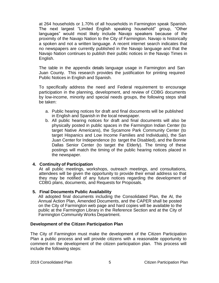at 264 households or 1.70% of all households in Farmington speak Spanish. The next largest "Limited English speaking household" group, "Other languages" would most likely include Navajo speakers because of the proximity of the Navajo Nation to the City of Farmington. Navajo is historically a spoken and not a written language. A recent internet search indicates that no newspapers are currently published in the Navajo language and that the Navajo Nation continues to publish their public notices in the Navajo Times in English.

The table in the appendix details language usage in Farmington and San Juan County. This research provides the justification for printing required Public Notices in English and Spanish.

To specifically address the need and Federal requirement to encourage participation in the planning, development, and review of CDBG documents by low-income, minority and special needs groups, the following steps shall be taken:

- a. Public hearing notices for draft and final documents will be published in English and Spanish in the local newspaper.
- b. All public hearing notices for draft and final documents will also be physically posted in public spaces in the Farmington Indian Center (to target Native Americans), the Sycamore Park Community Center (to target Hispanics and Low Income Families and Individuals), the San Juan Center for Independence (to target the Disabled), and the Bonnie Dallas Senior Center (to target the Elderly). The timing of these postings will match the timing of the public hearing notices placed in the newspaper.

# **4. Continuity of Participation**

At all public meetings, workshops, outreach meetings, and consultations, attendees will be given the opportunity to provide their email address so that they may be notified of any future notices regarding the development of CDBG plans, documents, and Requests for Proposals.

# **5. Final Documents Public Availability**

All adopted final documents including the Consolidated Plan, the AI, the Annual Action Plan, Amended Documents, and the CAPER shall be posted on the City of Farmington web page and hard copies will be available to the public at the Farmington Library in the Reference Section and at the City of Farmington Community Works Department.

# **Development of the Citizen Participation Plan**

The City of Farmington must make the development of the Citizen Participation Plan a public process and will provide citizens with a reasonable opportunity to comment on the development of the citizen participation plan. This process will include the following steps: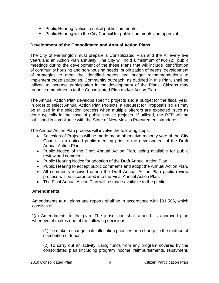- Public Hearing Notice to solicit public comments.
- Public Hearing with the City Council for public comments and approval.

# **Development of the Consolidated and Annual Action Plans**

The City of Farmington must prepare a Consolidated Plan and the AI every five years and an Action Plan annually. The City will hold a minimum of two (2) public meetings during the development of the these Plans that will include identification of community housing and non-housing needs, prioritization of needs, development of strategies to meet the identified needs and budget recommendations to implement those strategies. Community outreach, as outlined in this Plan, shall be utilized to increase participation in the development of the Plans. Citizens may propose amendments to the Consolidated Plan and/or Action Plan.

The Annual Action Plan develops specific projects and a budget for the fiscal year. In order to select Annual Action Plan Projects, a Request for Proposals (RFP) may be utilized in the selection process when multiple offerors are expected, such as done typically in the case of public service projects. If utilized, the RFP will be published in compliance with the State of New Mexico Procurement standards.

The Annual Action Plan process will involve the following steps:

- Selection of Projects will be made by an affirmative majority vote of the City Council in a noticed public meeting prior to the development of the Draft Annual Action Plan.
- Public Notice of the Draft Annual Action Plan, being available for public review and comment.
- Public Hearing Notice for adoption of the Draft Annual Action Plan.
- Public Hearing to accept public comments and adopt the Annual Action Plan.
- All comments received during the Draft Annual Action Plan public review process will be incorporated into the Final Annual Action Plan.
- The Final Annual Action Plan will be made available to the public.

# **Amendments**

Amendments to all plans and reports shall be in accordance with §91.505, which consists of:

"(a) Amendments to the plan. The jurisdiction shall amend its approved plan whenever it makes one of the following decisions:

(1) To make a change in its allocation priorities or a change in the method of distribution of funds;

(2) To carry out an activity, using funds from any program covered by the consolidated plan (including program income, reimbursements, repayment,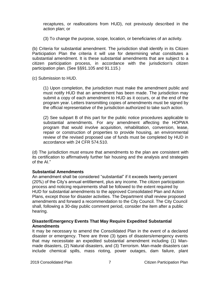recaptures, or reallocations from HUD), not previously described in the action plan; or

(3) To change the purpose, scope, location, or beneficiaries of an activity.

(b) Criteria for substantial amendment. The jurisdiction shall identify in its Citizen Participation Plan the criteria it will use for determining what constitutes a substantial amendment. It is these substantial amendments that are subject to a citizen participation process, in accordance with the jurisdiction's citizen participation plan. (See §§91.105 and 91.115.)

(c) Submission to HUD.

(1) Upon completion, the jurisdiction must make the amendment public and must notify HUD that an amendment has been made. The jurisdiction may submit a copy of each amendment to HUD as it occurs, or at the end of the program year. Letters transmitting copies of amendments must be signed by the official representative of the jurisdiction authorized to take such action.

(2) See subpart B of this part for the public notice procedures applicable to substantial amendments. For any amendment affecting the HOPWA program that would involve acquisition, rehabilitation, conversion, lease, repair or construction of properties to provide housing, an environmental review of the revised proposed use of funds must be completed by HUD in accordance with 24 CFR 574.510.

(d) The jurisdiction must ensure that amendments to the plan are consistent with its certification to affirmatively further fair housing and the analysis and strategies of the AI."

# **Substantial Amendments**

An amendment shall be considered "substantial" if it exceeds twenty percent (20%) of the City's annual entitlement, plus any income. The citizen participation process and noticing requirements shall be followed to the extent required by HUD for substantial amendments to the approved Consolidated Plan and Action Plans, except those for disaster activities. The Department shall review proposed amendments and forward a recommendation to the City Council. The City Council shall, following a 30-day public comment period, consider the item after a public hearing.

# **Disaster/Emergency Events That May Require Expedited Substantial Amendments**

It may be necessary to amend the Consolidated Plan in the event of a declared disaster or emergency. There are three (3) types of disasters/emergency events that may necessitate an expedited substantial amendment including (1) Manmade disasters, (2) Natural disasters, and (3) Terrorism. Man-made disasters can include chemical spills, mass rioting, power outages, dam failure, plant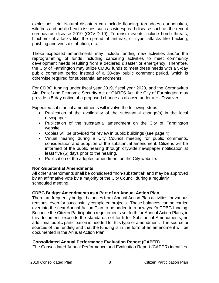explosions, etc. Natural disasters can include flooding, tornadoes, earthquakes, wildfires and public health issues such as widespread disease such as the recent coronavirus disease 2019 (COVID-19). Terrorism events include bomb threats, biochemical attacks like the spread of anthrax, or cyber-attacks like hacking, phishing and virus distribution, etc.

These expedited amendments may include funding new activities and/or the reprogramming of funds including canceling activities to meet community development needs resulting from a declared disaster or emergency. Therefore, the City of Farmington may utilize CDBG funds to meet these needs with a 5-day public comment period instead of a 30-day public comment period, which is otherwise required for substantial amendments.

For CDBG funding under fiscal year 2019, fiscal year 2020, and the Coronavirus Aid, Relief and Economic Security Act or CARES Act, the City of Farmington may provide a 5-day notice of a proposed change as allowed under a HUD waiver.

Expedited substantial amendments will involve the following steps:

- Publication of the availability of the substantial change(s) in the local newspaper.
- Publication of the substantial amendment on the City of Farmington website.
- Copies will be provided for review in public buildings (see page 4).
- Virtual hearing during a City Council meeting for public comments, consideration and adoption of the substantial amendment. Citizens will be informed of the public hearing through citywide newspaper notification at least five (5) days prior to the hearing.
- Publication of the adopted amendment on the City website.

# **Non-Substantial Amendments**

All other amendments shall be considered "non-substantial" and may be approved by an affirmative vote by a majority of the City Council during a regularly scheduled meeting.

# **CDBG Budget Amendments as a Part of an Annual Action Plan**

There are frequently budget balances from Annual Action Plan activities for various reasons, even for successfully completed projects. These balances can be carried over into the next Annual Action Plan to be added to a new year's CDBG funding. Because the Citizen Participation requirements set forth for Annual Action Plans, in this document, exceeds the standards set forth for Substantial Amendments, no additional public participation is needed for this type of amendment. The source or sources of the funding and that the funding is in the form of an amendment will be documented in the Annual Action Plan.

# **Consolidated Annual Performance Evaluation Report (CAPER)**

The Consolidated Annual Performance and Evaluation Report (CAPER) identifies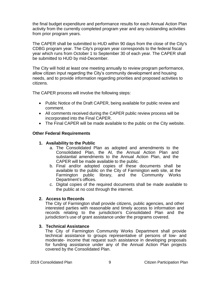the final budget expenditure and performance results for each Annual Action Plan activity from the currently completed program year and any outstanding activities from prior program years.

The CAPER shall be submitted to HUD within 90 days from the close of the City's CDBG program year. The City's program year corresponds to the federal fiscal year which runs from October 1 to September 30 of each year. The CAPER shall be submitted to HUD by mid-December.

The City will hold at least one meeting annually to review program performance, allow citizen input regarding the City's community development and housing needs, and to provide information regarding priorities and proposed activities to citizens.

The CAPER process will involve the following steps:

- Public Notice of the Draft CAPER, being available for public review and comment.
- All comments received during the CAPER public review process will be incorporated into the Final CAPER.
- The Final CAPER will be made available to the public on the City website.

# **Other Federal Requirements**

# **1. Availability to the Public**

- a. The Consolidated Plan as adopted and amendments to the Consolidated Plan, the AI, the Annual Action Plan and substantial amendments to the Annual Action Plan, and the CAPER will be made available to the public.
- b. Final and/or adopted copies of these documents shall be available to the public on the City of Farmington web site, at the Farmington public library, and the Community Works Department's offices.
- c. Digital copies of the required documents shall be made available to the public at no cost through the internet.

# **2. Access to Records**

The City of Farmington shall provide citizens, public agencies, and other interested parties with reasonable and timely access to information and records relating to the jurisdiction's Consolidated Plan and the jurisdiction's use of grant assistance under the programs covered.

# **3. Technical Assistance**

The City of Farmington Community Works Department shall provide technical assistance to groups representative of persons of low- and moderate- income that request such assistance in developing proposals for funding assistance under any of the Annual Action Plan projects covered by the Consolidated Plan.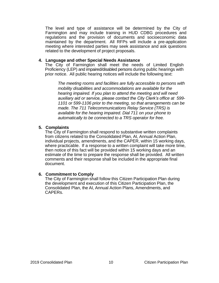The level and type of assistance will be determined by the City of Farmington and may include training in HUD CDBG procedures and regulations and the provision of documents and socioeconomic data maintained by the department. All RFPs will include a pre-application meeting where interested parties may seek assistance and ask questions related to the development of project proposals.

#### **4. Language and other Special Needs Assistance**

The City of Farmington shall meet the needs of Limited English Proficiency (LEP) and impaired/disabled persons during public hearings with prior notice. All public hearing notices will include the following text:

*The meeting rooms and facilities are fully accessible to persons with mobility disabilities and accommodations are available for the hearing impaired. If you plan to attend the meeting and will need auxiliary aid or service, please contact the City Clerk's office at 599- 1101 or 599-1106 prior to the meeting, so that arrangements can be made. The 711 Telecommunications Relay Service (TRS) is available for the hearing impaired. Dial 711 on your phone to automatically to be connected to a TRS operator for free.*

# **5. Complaints**

The City of Farmington shall respond to substantive written complaints from citizens related to the Consolidated Plan, AI, Annual Action Plan, individual projects, amendments, and the CAPER, within 15 working days, where practicable. If a response to a written complaint will take more time, then notice of this fact will be provided within 15 working days and an estimate of the time to prepare the response shall be provided. All written comments and their response shall be included in the appropriate final document.

# **6. Commitment to Comply**

The City of Farmington shall follow this Citizen Participation Plan during the development and execution of this Citizen Participation Plan, the Consolidated Plan, the AI, Annual Action Plans, Amendments, and CAPERs.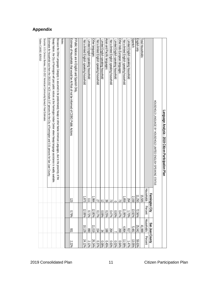# **Appendix**

| Language Analysis - 2019 Citizen Participation Plan                                                                                                  |                      |              |                 |                   |
|------------------------------------------------------------------------------------------------------------------------------------------------------|----------------------|--------------|-----------------|-------------------|
| HOUSE HOT LANGUNGE BY HOUSEHOLD LIMITED ENGLISH SPEAKING STATUS                                                                                      |                      |              |                 |                   |
|                                                                                                                                                      | Farn                 | mington City | San Juan County |                   |
|                                                                                                                                                      | Households           | Percent      | Households      | Percent           |
| Total Households:                                                                                                                                    | 15,505               |              | 41,999          |                   |
| English only                                                                                                                                         | ∄<br>-250            | 72.56%       | 25,042          | 59.63%            |
| Spanish:                                                                                                                                             | Ņ<br>$\frac{159}{ }$ | 13.92%       | 5,481           | 13.05%            |
| Limited English speaking household                                                                                                                   | 264                  | 1.70%        | 217             | 479/2             |
| Not a limited English speaking household                                                                                                             | 859                  | 1.99%        | 4,864           | $\frac{1.58%}{8}$ |
| Other Indo-European languages                                                                                                                        | 2                    | $0.47\%$     | 269             | 0.64%             |
| Limited English speaking household                                                                                                                   | $\circ$              | 0.00%        |                 | 0.02%             |
| Not a limited English speaking household                                                                                                             | 53                   | $0.47\%$     | 264             | 0.63%             |
| Asian and Pacific languages                                                                                                                          | 39                   | 0.25%        | 88              | $0.45\%$          |
| Limited English speaking household                                                                                                                   | ನ                    | 0.08%        | 34              | 0.08%             |
| Not a limited English speaking household                                                                                                             | 27                   | 0.17%        | 154             | 0.37%             |
| Other languages:                                                                                                                                     | 984                  | 12.80%       | 11,019          | 26.24%            |
| Limited English speaking household                                                                                                                   | ミ                    | 0.72%        | 068             | 2.12%             |
| Not a limited English speaking household                                                                                                             | 873                  | 12.08%       | 10,129          | 24.12%            |
|                                                                                                                                                      |                      |              |                 |                   |
| F Public Notices are in English and Spanish Only.                                                                                                    |                      |              |                 |                   |
| Estimate of HouseHolds that would be At Risk of not be informed of CDBG Public Actions                                                               | 123                  | 0.79%        | 331             | 2.22%             |
|                                                                                                                                                      |                      |              |                 |                   |
| Notes:                                                                                                                                               |                      |              |                 |                   |
| Because the Other Languages Category is assumed to be predominately Navajo or other Native American Languages, due to the proximity of the           |                      |              |                 |                   |
| Navajo Nation, the City of Farmington will post public notices at the Farmington Indian Center where Navajo language assistance is readily available |                      |              |                 |                   |
| Eximates dor Podra side and the D2042017 KCO include 2.87 Persons do the City of Taminiquo and 2019 Persons do Resons do New Top Country.            |                      |              |                 |                   |
| Sources: U.S. Census Bureau, 2013-2017 American Community Survey5-Year Estimates                                                                     |                      |              |                 |                   |
| Tables C16002, B25010                                                                                                                                |                      |              |                 |                   |
|                                                                                                                                                      |                      |              |                 |                   |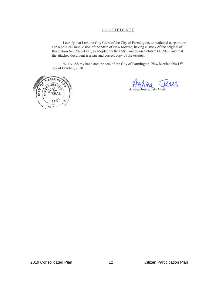#### CERTIFICATE

I certify that I am the City Clerk of the City of Farmington, a municipal corporation and a political subdivision of the State of New Mexico, having custody of the original of Resolution No. 2020-1771, as adopted by the City Council on October 13, 2020, and that the attached document is a true and correct copy of the original.

WITNESS my hand and the seal of the City of Farmington, New Mexico this 15<sup>th</sup> day of October, 2020.



Andrea Jones, City Cle